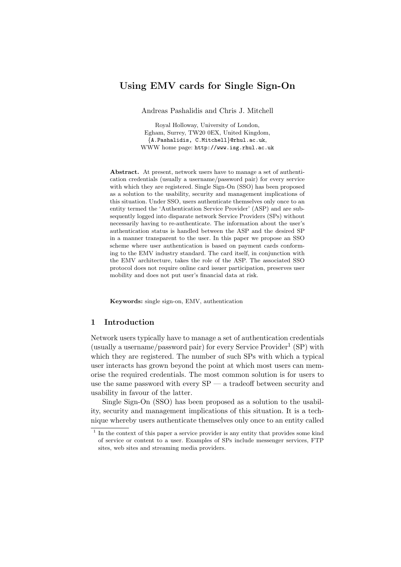# Using EMV cards for Single Sign-On

Andreas Pashalidis and Chris J. Mitchell

Royal Holloway, University of London, Egham, Surrey, TW20 0EX, United Kingdom, {A.Pashalidis, C.Mitchell}@rhul.ac.uk, WWW home page: http://www.isg.rhul.ac.uk

Abstract. At present, network users have to manage a set of authentication credentials (usually a username/password pair) for every service with which they are registered. Single Sign-On (SSO) has been proposed as a solution to the usability, security and management implications of this situation. Under SSO, users authenticate themselves only once to an entity termed the 'Authentication Service Provider' (ASP) and are subsequently logged into disparate network Service Providers (SPs) without necessarily having to re-authenticate. The information about the user's authentication status is handled between the ASP and the desired SP in a manner transparent to the user. In this paper we propose an SSO scheme where user authentication is based on payment cards conforming to the EMV industry standard. The card itself, in conjunction with the EMV architecture, takes the role of the ASP. The associated SSO protocol does not require online card issuer participation, preserves user mobility and does not put user's financial data at risk.

Keywords: single sign-on, EMV, authentication

# 1 Introduction

Network users typically have to manage a set of authentication credentials (usually a username/password pair) for every Service Provider<sup>1</sup> (SP) with which they are registered. The number of such SPs with which a typical user interacts has grown beyond the point at which most users can memorise the required credentials. The most common solution is for users to use the same password with every  $SP - a$  tradeoff between security and usability in favour of the latter.

Single Sign-On (SSO) has been proposed as a solution to the usability, security and management implications of this situation. It is a technique whereby users authenticate themselves only once to an entity called

<sup>&</sup>lt;sup>1</sup> In the context of this paper a service provider is any entity that provides some kind of service or content to a user. Examples of SPs include messenger services, FTP sites, web sites and streaming media providers.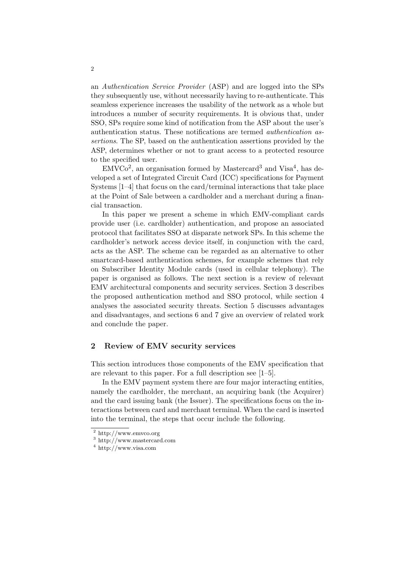an Authentication Service Provider (ASP) and are logged into the SPs they subsequently use, without necessarily having to re-authenticate. This seamless experience increases the usability of the network as a whole but introduces a number of security requirements. It is obvious that, under SSO, SPs require some kind of notification from the ASP about the user's authentication status. These notifications are termed authentication assertions. The SP, based on the authentication assertions provided by the ASP, determines whether or not to grant access to a protected resource to the specified user.

 $\text{EMVCo}^2$ , an organisation formed by Mastercard<sup>3</sup> and Visa<sup>4</sup>, has developed a set of Integrated Circuit Card (ICC) specifications for Payment Systems [1–4] that focus on the card/terminal interactions that take place at the Point of Sale between a cardholder and a merchant during a financial transaction.

In this paper we present a scheme in which EMV-compliant cards provide user (i.e. cardholder) authentication, and propose an associated protocol that facilitates SSO at disparate network SPs. In this scheme the cardholder's network access device itself, in conjunction with the card, acts as the ASP. The scheme can be regarded as an alternative to other smartcard-based authentication schemes, for example schemes that rely on Subscriber Identity Module cards (used in cellular telephony). The paper is organised as follows. The next section is a review of relevant EMV architectural components and security services. Section 3 describes the proposed authentication method and SSO protocol, while section 4 analyses the associated security threats. Section 5 discusses advantages and disadvantages, and sections 6 and 7 give an overview of related work and conclude the paper.

#### 2 Review of EMV security services

This section introduces those components of the EMV specification that are relevant to this paper. For a full description see [1–5].

In the EMV payment system there are four major interacting entities, namely the cardholder, the merchant, an acquiring bank (the Acquirer) and the card issuing bank (the Issuer). The specifications focus on the interactions between card and merchant terminal. When the card is inserted into the terminal, the steps that occur include the following.

 $\sqrt{2}$  http://www.emvco.org

<sup>3</sup> http://www.mastercard.com

<sup>4</sup> http://www.visa.com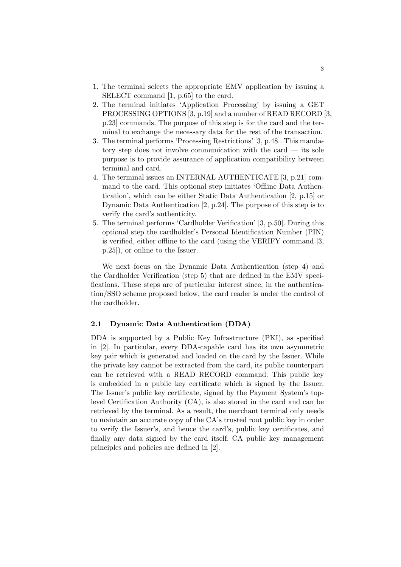- 1. The terminal selects the appropriate EMV application by issuing a SELECT command [1, p.65] to the card.
- 2. The terminal initiates 'Application Processing' by issuing a GET PROCESSING OPTIONS [3, p.19] and a number of READ RECORD [3, p.23] commands. The purpose of this step is for the card and the terminal to exchange the necessary data for the rest of the transaction.
- 3. The terminal performs 'Processing Restrictions' [3, p.48]. This mandatory step does not involve communication with the card — its sole purpose is to provide assurance of application compatibility between terminal and card.
- 4. The terminal issues an INTERNAL AUTHENTICATE [3, p.21] command to the card. This optional step initiates 'Offline Data Authentication', which can be either Static Data Authentication [2, p.15] or Dynamic Data Authentication [2, p.24]. The purpose of this step is to verify the card's authenticity.
- 5. The terminal performs 'Cardholder Verification' [3, p.50]. During this optional step the cardholder's Personal Identification Number (PIN) is verified, either offline to the card (using the VERIFY command [3, p.25]), or online to the Issuer.

We next focus on the Dynamic Data Authentication (step 4) and the Cardholder Verification (step 5) that are defined in the EMV specifications. These steps are of particular interest since, in the authentication/SSO scheme proposed below, the card reader is under the control of the cardholder.

# 2.1 Dynamic Data Authentication (DDA)

DDA is supported by a Public Key Infrastructure (PKI), as specified in [2]. In particular, every DDA-capable card has its own asymmetric key pair which is generated and loaded on the card by the Issuer. While the private key cannot be extracted from the card, its public counterpart can be retrieved with a READ RECORD command. This public key is embedded in a public key certificate which is signed by the Issuer. The Issuer's public key certificate, signed by the Payment System's toplevel Certification Authority (CA), is also stored in the card and can be retrieved by the terminal. As a result, the merchant terminal only needs to maintain an accurate copy of the CA's trusted root public key in order to verify the Issuer's, and hence the card's, public key certificates, and finally any data signed by the card itself. CA public key management principles and policies are defined in [2].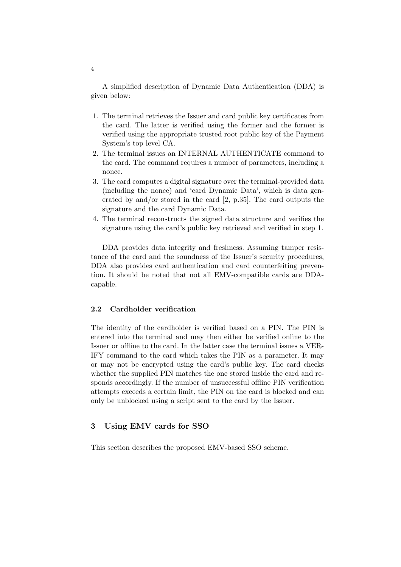A simplified description of Dynamic Data Authentication (DDA) is given below:

- 1. The terminal retrieves the Issuer and card public key certificates from the card. The latter is verified using the former and the former is verified using the appropriate trusted root public key of the Payment System's top level CA.
- 2. The terminal issues an INTERNAL AUTHENTICATE command to the card. The command requires a number of parameters, including a nonce.
- 3. The card computes a digital signature over the terminal-provided data (including the nonce) and 'card Dynamic Data', which is data generated by and/or stored in the card [2, p.35]. The card outputs the signature and the card Dynamic Data.
- 4. The terminal reconstructs the signed data structure and verifies the signature using the card's public key retrieved and verified in step 1.

DDA provides data integrity and freshness. Assuming tamper resistance of the card and the soundness of the Issuer's security procedures, DDA also provides card authentication and card counterfeiting prevention. It should be noted that not all EMV-compatible cards are DDAcapable.

### 2.2 Cardholder verification

The identity of the cardholder is verified based on a PIN. The PIN is entered into the terminal and may then either be verified online to the Issuer or offline to the card. In the latter case the terminal issues a VER-IFY command to the card which takes the PIN as a parameter. It may or may not be encrypted using the card's public key. The card checks whether the supplied PIN matches the one stored inside the card and responds accordingly. If the number of unsuccessful offline PIN verification attempts exceeds a certain limit, the PIN on the card is blocked and can only be unblocked using a script sent to the card by the Issuer.

# 3 Using EMV cards for SSO

This section describes the proposed EMV-based SSO scheme.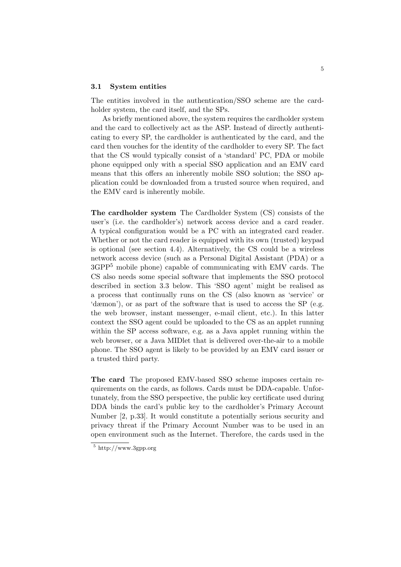#### 3.1 System entities

The entities involved in the authentication/SSO scheme are the cardholder system, the card itself, and the SPs.

As briefly mentioned above, the system requires the cardholder system and the card to collectively act as the ASP. Instead of directly authenticating to every SP, the cardholder is authenticated by the card, and the card then vouches for the identity of the cardholder to every SP. The fact that the CS would typically consist of a 'standard' PC, PDA or mobile phone equipped only with a special SSO application and an EMV card means that this offers an inherently mobile SSO solution; the SSO application could be downloaded from a trusted source when required, and the EMV card is inherently mobile.

The cardholder system The Cardholder System (CS) consists of the user's (i.e. the cardholder's) network access device and a card reader. A typical configuration would be a PC with an integrated card reader. Whether or not the card reader is equipped with its own (trusted) keypad is optional (see section 4.4). Alternatively, the CS could be a wireless network access device (such as a Personal Digital Assistant (PDA) or a 3GPP<sup>5</sup> mobile phone) capable of communicating with EMV cards. The CS also needs some special software that implements the SSO protocol described in section 3.3 below. This 'SSO agent' might be realised as a process that continually runs on the CS (also known as 'service' or 'dæmon'), or as part of the software that is used to access the SP (e.g. the web browser, instant messenger, e-mail client, etc.). In this latter context the SSO agent could be uploaded to the CS as an applet running within the SP access software, e.g. as a Java applet running within the web browser, or a Java MIDlet that is delivered over-the-air to a mobile phone. The SSO agent is likely to be provided by an EMV card issuer or a trusted third party.

The card The proposed EMV-based SSO scheme imposes certain requirements on the cards, as follows. Cards must be DDA-capable. Unfortunately, from the SSO perspective, the public key certificate used during DDA binds the card's public key to the cardholder's Primary Account Number [2, p.33]. It would constitute a potentially serious security and privacy threat if the Primary Account Number was to be used in an open environment such as the Internet. Therefore, the cards used in the

<sup>5</sup> http://www.3gpp.org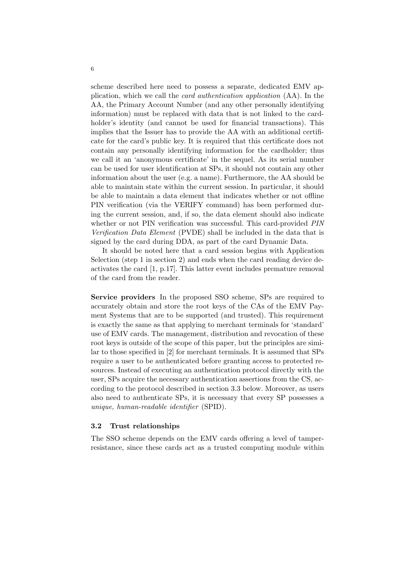scheme described here need to possess a separate, dedicated EMV application, which we call the card authentication application (AA). In the AA, the Primary Account Number (and any other personally identifying information) must be replaced with data that is not linked to the cardholder's identity (and cannot be used for financial transactions). This implies that the Issuer has to provide the AA with an additional certificate for the card's public key. It is required that this certificate does not contain any personally identifying information for the cardholder; thus we call it an 'anonymous certificate' in the sequel. As its serial number can be used for user identification at SPs, it should not contain any other information about the user (e.g. a name). Furthermore, the AA should be able to maintain state within the current session. In particular, it should be able to maintain a data element that indicates whether or not offline PIN verification (via the VERIFY command) has been performed during the current session, and, if so, the data element should also indicate whether or not PIN verification was successful. This card-provided *PIN* Verification Data Element (PVDE) shall be included in the data that is signed by the card during DDA, as part of the card Dynamic Data.

It should be noted here that a card session begins with Application Selection (step 1 in section 2) and ends when the card reading device deactivates the card [1, p.17]. This latter event includes premature removal of the card from the reader.

Service providers In the proposed SSO scheme, SPs are required to accurately obtain and store the root keys of the CAs of the EMV Payment Systems that are to be supported (and trusted). This requirement is exactly the same as that applying to merchant terminals for 'standard' use of EMV cards. The management, distribution and revocation of these root keys is outside of the scope of this paper, but the principles are similar to those specified in [2] for merchant terminals. It is assumed that SPs require a user to be authenticated before granting access to protected resources. Instead of executing an authentication protocol directly with the user, SPs acquire the necessary authentication assertions from the CS, according to the protocol described in section 3.3 below. Moreover, as users also need to authenticate SPs, it is necessary that every SP possesses a unique, human-readable identifier (SPID).

#### 3.2 Trust relationships

The SSO scheme depends on the EMV cards offering a level of tamperresistance, since these cards act as a trusted computing module within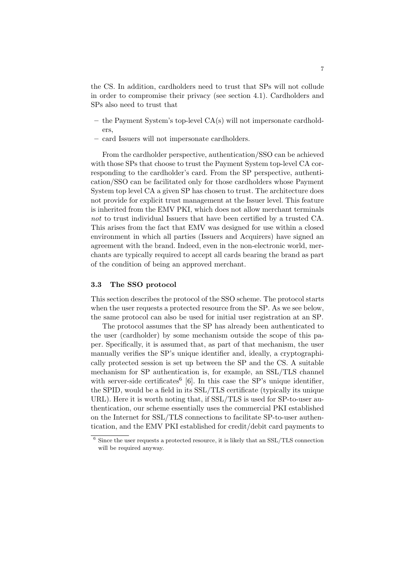the CS. In addition, cardholders need to trust that SPs will not collude in order to compromise their privacy (see section 4.1). Cardholders and SPs also need to trust that

- the Payment System's top-level CA(s) will not impersonate cardholders,
- card Issuers will not impersonate cardholders.

From the cardholder perspective, authentication/SSO can be achieved with those SPs that choose to trust the Payment System top-level CA corresponding to the cardholder's card. From the SP perspective, authentication/SSO can be facilitated only for those cardholders whose Payment System top level CA a given SP has chosen to trust. The architecture does not provide for explicit trust management at the Issuer level. This feature is inherited from the EMV PKI, which does not allow merchant terminals not to trust individual Issuers that have been certified by a trusted CA. This arises from the fact that EMV was designed for use within a closed environment in which all parties (Issuers and Acquirers) have signed an agreement with the brand. Indeed, even in the non-electronic world, merchants are typically required to accept all cards bearing the brand as part of the condition of being an approved merchant.

#### 3.3 The SSO protocol

This section describes the protocol of the SSO scheme. The protocol starts when the user requests a protected resource from the SP. As we see below, the same protocol can also be used for initial user registration at an SP.

The protocol assumes that the SP has already been authenticated to the user (cardholder) by some mechanism outside the scope of this paper. Specifically, it is assumed that, as part of that mechanism, the user manually verifies the SP's unique identifier and, ideally, a cryptographically protected session is set up between the SP and the CS. A suitable mechanism for SP authentication is, for example, an SSL/TLS channel with server-side certificates  $6$  [6]. In this case the SP's unique identifier, the SPID, would be a field in its SSL/TLS certificate (typically its unique URL). Here it is worth noting that, if  $\text{SSL/TLS}$  is used for SP-to-user authentication, our scheme essentially uses the commercial PKI established on the Internet for SSL/TLS connections to facilitate SP-to-user authentication, and the EMV PKI established for credit/debit card payments to

 $6$  Since the user requests a protected resource, it is likely that an SSL/TLS connection will be required anyway.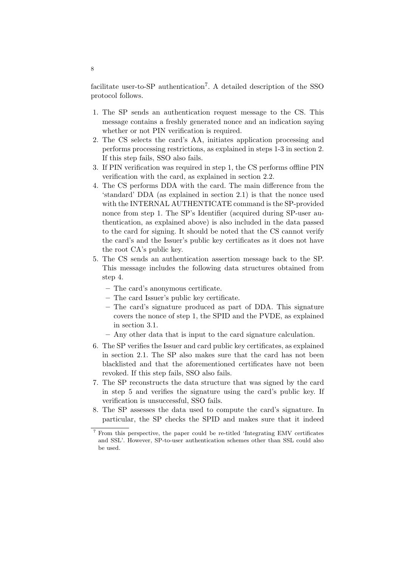facilitate user-to-SP authentication<sup>7</sup>. A detailed description of the SSO protocol follows.

- 1. The SP sends an authentication request message to the CS. This message contains a freshly generated nonce and an indication saying whether or not PIN verification is required.
- 2. The CS selects the card's AA, initiates application processing and performs processing restrictions, as explained in steps 1-3 in section 2. If this step fails, SSO also fails.
- 3. If PIN verification was required in step 1, the CS performs offline PIN verification with the card, as explained in section 2.2.
- 4. The CS performs DDA with the card. The main difference from the 'standard' DDA (as explained in section 2.1) is that the nonce used with the INTERNAL AUTHENTICATE command is the SP-provided nonce from step 1. The SP's Identifier (acquired during SP-user authentication, as explained above) is also included in the data passed to the card for signing. It should be noted that the CS cannot verify the card's and the Issuer's public key certificates as it does not have the root CA's public key.
- 5. The CS sends an authentication assertion message back to the SP. This message includes the following data structures obtained from step 4.
	- The card's anonymous certificate.
	- The card Issuer's public key certificate.
	- The card's signature produced as part of DDA. This signature covers the nonce of step 1, the SPID and the PVDE, as explained in section 3.1.
	- Any other data that is input to the card signature calculation.
- 6. The SP verifies the Issuer and card public key certificates, as explained in section 2.1. The SP also makes sure that the card has not been blacklisted and that the aforementioned certificates have not been revoked. If this step fails, SSO also fails.
- 7. The SP reconstructs the data structure that was signed by the card in step 5 and verifies the signature using the card's public key. If verification is unsuccessful, SSO fails.
- 8. The SP assesses the data used to compute the card's signature. In particular, the SP checks the SPID and makes sure that it indeed

<sup>7</sup> From this perspective, the paper could be re-titled 'Integrating EMV certificates and SSL'. However, SP-to-user authentication schemes other than SSL could also be used.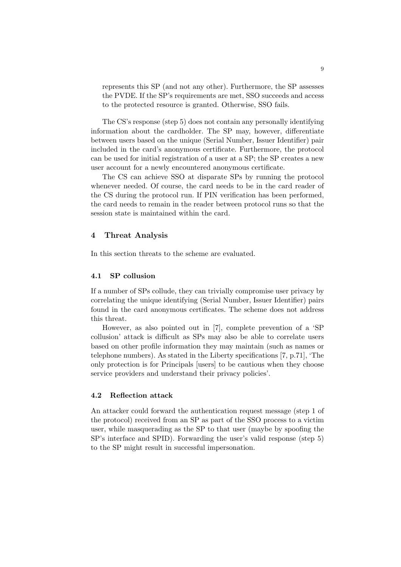represents this SP (and not any other). Furthermore, the SP assesses the PVDE. If the SP's requirements are met, SSO succeeds and access to the protected resource is granted. Otherwise, SSO fails.

The CS's response (step 5) does not contain any personally identifying information about the cardholder. The SP may, however, differentiate between users based on the unique (Serial Number, Issuer Identifier) pair included in the card's anonymous certificate. Furthermore, the protocol can be used for initial registration of a user at a SP; the SP creates a new user account for a newly encountered anonymous certificate.

The CS can achieve SSO at disparate SPs by running the protocol whenever needed. Of course, the card needs to be in the card reader of the CS during the protocol run. If PIN verification has been performed, the card needs to remain in the reader between protocol runs so that the session state is maintained within the card.

## 4 Threat Analysis

In this section threats to the scheme are evaluated.

### 4.1 SP collusion

If a number of SPs collude, they can trivially compromise user privacy by correlating the unique identifying (Serial Number, Issuer Identifier) pairs found in the card anonymous certificates. The scheme does not address this threat.

However, as also pointed out in [7], complete prevention of a 'SP collusion' attack is difficult as SPs may also be able to correlate users based on other profile information they may maintain (such as names or telephone numbers). As stated in the Liberty specifications [7, p.71], 'The only protection is for Principals [users] to be cautious when they choose service providers and understand their privacy policies'.

# 4.2 Reflection attack

An attacker could forward the authentication request message (step 1 of the protocol) received from an SP as part of the SSO process to a victim user, while masquerading as the SP to that user (maybe by spoofing the SP's interface and SPID). Forwarding the user's valid response (step 5) to the SP might result in successful impersonation.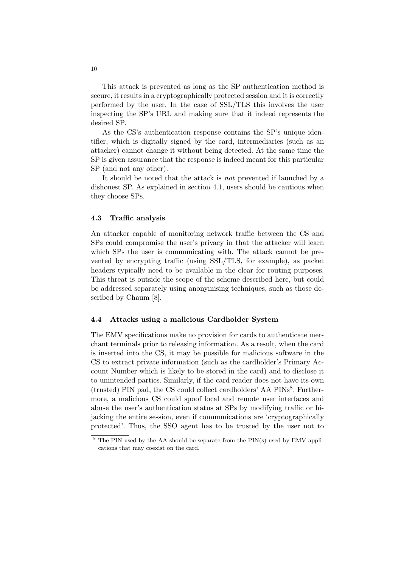This attack is prevented as long as the SP authentication method is secure, it results in a cryptographically protected session and it is correctly performed by the user. In the case of SSL/TLS this involves the user inspecting the SP's URL and making sure that it indeed represents the desired SP.

As the CS's authentication response contains the SP's unique identifier, which is digitally signed by the card, intermediaries (such as an attacker) cannot change it without being detected. At the same time the SP is given assurance that the response is indeed meant for this particular SP (and not any other).

It should be noted that the attack is not prevented if launched by a dishonest SP. As explained in section 4.1, users should be cautious when they choose SPs.

#### 4.3 Traffic analysis

An attacker capable of monitoring network traffic between the CS and SPs could compromise the user's privacy in that the attacker will learn which SPs the user is communicating with. The attack cannot be prevented by encrypting traffic (using SSL/TLS, for example), as packet headers typically need to be available in the clear for routing purposes. This threat is outside the scope of the scheme described here, but could be addressed separately using anonymising techniques, such as those described by Chaum [8].

# 4.4 Attacks using a malicious Cardholder System

The EMV specifications make no provision for cards to authenticate merchant terminals prior to releasing information. As a result, when the card is inserted into the CS, it may be possible for malicious software in the CS to extract private information (such as the cardholder's Primary Account Number which is likely to be stored in the card) and to disclose it to unintended parties. Similarly, if the card reader does not have its own (trusted) PIN pad, the CS could collect cardholders' AA  $PINs<sup>8</sup>$ . Furthermore, a malicious CS could spoof local and remote user interfaces and abuse the user's authentication status at SPs by modifying traffic or hijacking the entire session, even if communications are 'cryptographically protected'. Thus, the SSO agent has to be trusted by the user not to

<sup>8</sup> The PIN used by the AA should be separate from the PIN(s) used by EMV applications that may coexist on the card.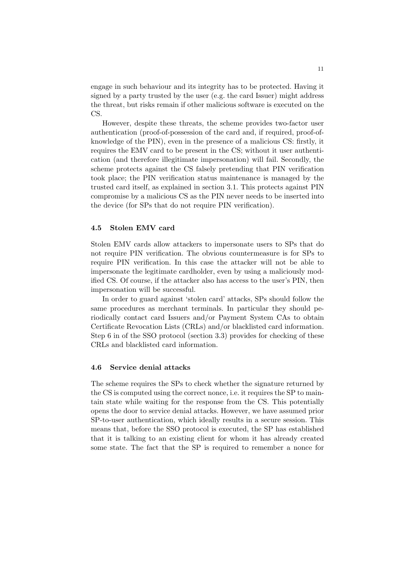engage in such behaviour and its integrity has to be protected. Having it signed by a party trusted by the user (e.g. the card Issuer) might address the threat, but risks remain if other malicious software is executed on the CS.

However, despite these threats, the scheme provides two-factor user authentication (proof-of-possession of the card and, if required, proof-ofknowledge of the PIN), even in the presence of a malicious CS: firstly, it requires the EMV card to be present in the CS; without it user authentication (and therefore illegitimate impersonation) will fail. Secondly, the scheme protects against the CS falsely pretending that PIN verification took place; the PIN verification status maintenance is managed by the trusted card itself, as explained in section 3.1. This protects against PIN compromise by a malicious CS as the PIN never needs to be inserted into the device (for SPs that do not require PIN verification).

#### 4.5 Stolen EMV card

Stolen EMV cards allow attackers to impersonate users to SPs that do not require PIN verification. The obvious countermeasure is for SPs to require PIN verification. In this case the attacker will not be able to impersonate the legitimate cardholder, even by using a maliciously modified CS. Of course, if the attacker also has access to the user's PIN, then impersonation will be successful.

In order to guard against 'stolen card' attacks, SPs should follow the same procedures as merchant terminals. In particular they should periodically contact card Issuers and/or Payment System CAs to obtain Certificate Revocation Lists (CRLs) and/or blacklisted card information. Step 6 in of the SSO protocol (section 3.3) provides for checking of these CRLs and blacklisted card information.

#### 4.6 Service denial attacks

The scheme requires the SPs to check whether the signature returned by the CS is computed using the correct nonce, i.e. it requires the SP to maintain state while waiting for the response from the CS. This potentially opens the door to service denial attacks. However, we have assumed prior SP-to-user authentication, which ideally results in a secure session. This means that, before the SSO protocol is executed, the SP has established that it is talking to an existing client for whom it has already created some state. The fact that the SP is required to remember a nonce for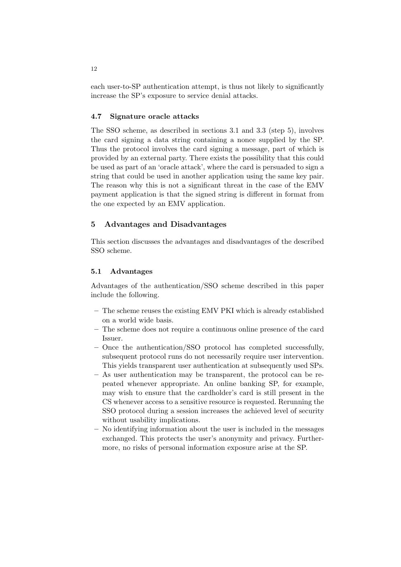each user-to-SP authentication attempt, is thus not likely to significantly increase the SP's exposure to service denial attacks.

# 4.7 Signature oracle attacks

The SSO scheme, as described in sections 3.1 and 3.3 (step 5), involves the card signing a data string containing a nonce supplied by the SP. Thus the protocol involves the card signing a message, part of which is provided by an external party. There exists the possibility that this could be used as part of an 'oracle attack', where the card is persuaded to sign a string that could be used in another application using the same key pair. The reason why this is not a significant threat in the case of the EMV payment application is that the signed string is different in format from the one expected by an EMV application.

## 5 Advantages and Disadvantages

This section discusses the advantages and disadvantages of the described SSO scheme.

#### 5.1 Advantages

Advantages of the authentication/SSO scheme described in this paper include the following.

- The scheme reuses the existing EMV PKI which is already established on a world wide basis.
- The scheme does not require a continuous online presence of the card Issuer.
- Once the authentication/SSO protocol has completed successfully, subsequent protocol runs do not necessarily require user intervention. This yields transparent user authentication at subsequently used SPs.
- As user authentication may be transparent, the protocol can be repeated whenever appropriate. An online banking SP, for example, may wish to ensure that the cardholder's card is still present in the CS whenever access to a sensitive resource is requested. Rerunning the SSO protocol during a session increases the achieved level of security without usability implications.
- No identifying information about the user is included in the messages exchanged. This protects the user's anonymity and privacy. Furthermore, no risks of personal information exposure arise at the SP.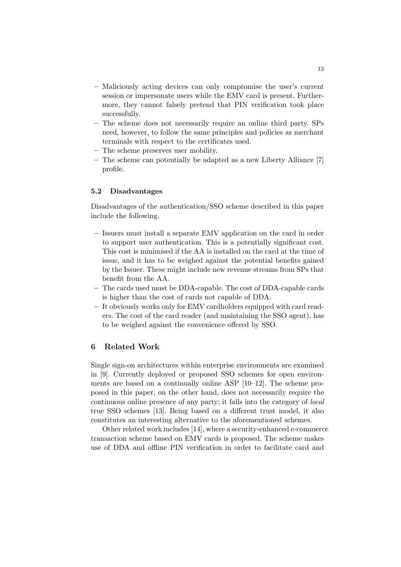- Maliciously acting devices can only compromise the user's current session or impersonate users while the EMV card is present. Furthermore, they cannot falsely pretend that PIN verification took place successfully.
- The scheme does not necessarily require an online third party. SPs need, however, to follow the same principles and policies as merchant terminals with respect to the certificates used.
- The scheme preserves user mobility.
- The scheme can potentially be adapted as a new Liberty Alliance [7] profile.

### 5.2 Disadvantages

Disadvantages of the authentication/SSO scheme described in this paper include the following.

- Issuers must install a separate EMV application on the card in order to support user authentication. This is a potentially significant cost. This cost is minimised if the AA is installed on the card at the time of issue, and it has to be weighed against the potential benefits gained by the Issuer. These might include new revenue streams from SPs that benefit from the AA.
- The cards used must be DDA-capable. The cost of DDA-capable cards is higher than the cost of cards not capable of DDA.
- It obviously works only for EMV cardholders equipped with card readers. The cost of the card reader (and maintaining the SSO agent), has to be weighed against the convenience offered by SSO.

# 6 Related Work

Single sign-on architectures within enterprise environments are examined in [9]. Currently deployed or proposed SSO schemes for open environments are based on a continually online ASP [10–12]. The scheme proposed in this paper, on the other hand, does not necessarily require the continuous online presence of any party; it falls into the category of local true SSO schemes [13]. Being based on a different trust model, it also constitutes an interesting alternative to the aforementioned schemes.

Other related work includes [14], where a security-enhanced e-commerce transaction scheme based on EMV cards is proposed. The scheme makes use of DDA and offline PIN verification in order to facilitate card and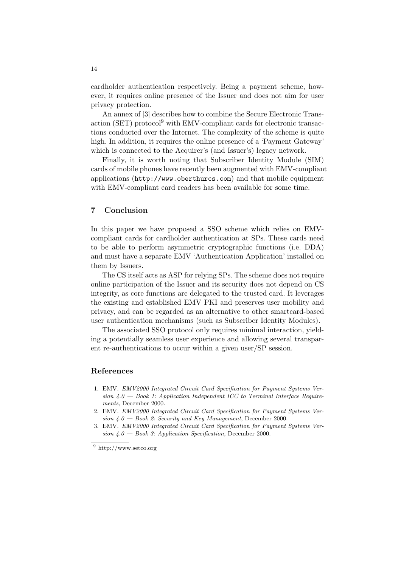cardholder authentication respectively. Being a payment scheme, however, it requires online presence of the Issuer and does not aim for user privacy protection.

An annex of [3] describes how to combine the Secure Electronic Transaction  $(SET)$  protocol<sup>9</sup> with EMV-compliant cards for electronic transactions conducted over the Internet. The complexity of the scheme is quite high. In addition, it requires the online presence of a 'Payment Gateway' which is connected to the Acquirer's (and Issuer's) legacy network.

Finally, it is worth noting that Subscriber Identity Module (SIM) cards of mobile phones have recently been augmented with EMV-compliant applications (http://www.oberthurcs.com) and that mobile equipment with EMV-compliant card readers has been available for some time.

# 7 Conclusion

In this paper we have proposed a SSO scheme which relies on EMVcompliant cards for cardholder authentication at SPs. These cards need to be able to perform asymmetric cryptographic functions (i.e. DDA) and must have a separate EMV 'Authentication Application' installed on them by Issuers.

The CS itself acts as ASP for relying SPs. The scheme does not require online participation of the Issuer and its security does not depend on CS integrity, as core functions are delegated to the trusted card. It leverages the existing and established EMV PKI and preserves user mobility and privacy, and can be regarded as an alternative to other smartcard-based user authentication mechanisms (such as Subscriber Identity Modules).

The associated SSO protocol only requires minimal interaction, yielding a potentially seamless user experience and allowing several transparent re-authentications to occur within a given user/SP session.

### References

- 1. EMV. EMV2000 Integrated Circuit Card Specification for Payment Systems Version  $4.0 - Book$  1: Application Independent ICC to Terminal Interface Requirements, December 2000.
- 2. EMV. EMV2000 Integrated Circuit Card Specification for Payment Systems Version  $4.0 - Book$  2: Security and Key Management, December 2000.
- 3. EMV. EMV2000 Integrated Circuit Card Specification for Payment Systems Version  $4.0 - Book 3$ : Application Specification, December 2000.

<sup>9</sup> http://www.setco.org